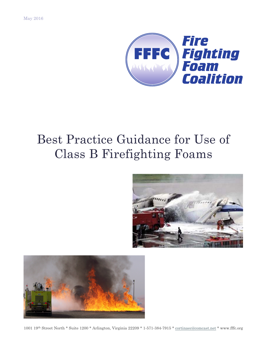

# Best Practice Guidance for Use of Class B Firefighting Foams





1001 19th Street North \* Suite 1200 \* Arlington, Virginia 22209 \* 1-571-384-7915 \* cortinaec@comcast.net \* www.fffc.org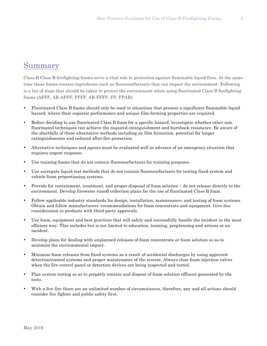## Summary

Class B Class B firefighting foams serve a vital role in protection against flammable liquid fires. At the same time these foams contain ingredients such as fluorosurfactants that can impact the environment. Following is a list of steps that should be taken to protect the environment when using fluorinated Class B firefighting foams (AFFF, AR-AFFF, FFFP, AR-FFFP, FP, FPAR):

- Fluorinated Class B foams should only be used in situations that present a significant flammable liquid hazard, where their superior performance and unique film-forming properties are required.
- Before deciding to use fluorinated Class B foam for a specific hazard, investigate whether other nonfluorinated techniques can achieve the required extinguishment and burnback resistance. Be aware of the shortfalls of these alternative methods including no film formation, potential for longer extinguishments and reduced after-fire protection.
- Alternative techniques and agents must be evaluated well in advance of an emergency situation that requires urgent response.
- Use training foams that do not contain fluorosurfactants for training purposes.
- Use surrogate liquid test methods that do not contain fluorosurfactants for testing fixed system and vehicle foam proportioning systems.
- Provide for containment, treatment, and proper disposal of foam solution do not release directly to the environment. Develop firewater runoff collection plans for the use of fluorinated Class B foam.
- Follow applicable industry standards for design, installation, maintenance, and testing of foam systems. Obtain and follow manufacturers' recommendations for foam concentrate and equipment. Give due consideration to products with third party approvals.
- Use foam, equipment and best practices that will safely and successfully handle the incident in the most efficient way. This includes but is not limited to education, training, preplanning and actions at an incident.
- Develop plans for dealing with unplanned releases of foam concentrate or foam solution so as to minimize the environmental impact.
- Minimize foam releases from fixed systems as a result of accidental discharges by using approved detection/control systems and proper maintenance of the system. Always close foam injection valves when the fire control panel or detection devices are being inspected and tested.
- Plan system testing so as to properly contain and dispose of foam solution effluent generated by the tests.
- With a live fire there are an unlimited number of circumstances, therefore, any and all actions should consider fire fighter and public safety first.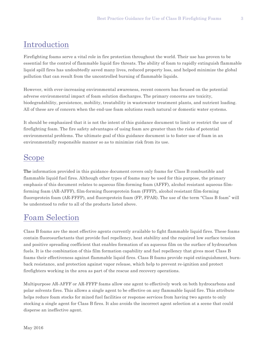# Introduction

Firefighting foams serve a vital role in fire protection throughout the world. Their use has proven to be essential for the control of flammable liquid fire threats. The ability of foam to rapidly extinguish flammable liquid spill fires has undoubtedly saved many lives, reduced property loss, and helped minimize the global pollution that can result from the uncontrolled burning of flammable liquids.

However, with ever-increasing environmental awareness, recent concern has focused on the potential adverse environmental impact of foam solution discharges. The primary concerns are toxicity, biodegradability, persistence, mobility, treatability in wastewater treatment plants, and nutrient loading. All of these are of concern when the end-use foam solutions reach natural or domestic water systems.

It should be emphasized that it is not the intent of this guidance document to limit or restrict the use of firefighting foam. The fire safety advantages of using foam are greater than the risks of potential environmental problems. The ultimate goal of this guidance document is to foster use of foam in an environmentally responsible manner so as to minimize risk from its use.

# Scope

The information provided in this guidance document covers only foams for Class B combustible and flammable liquid fuel fires. Although other types of foams may be used for this purpose, the primary emphasis of this document relates to aqueous film-forming foam (AFFF), alcohol resistant aqueous filmforming foam (AR-AFFF), film-forming fluoroprotein foam (FFFP), alcohol resistant film-forming fluoroprotein foam (AR-FFFP), and fluoroprotein foam (FP, FPAR). The use of the term "Class B foam" will be understood to refer to all of the products listed above.

# Foam Selection

Class B foams are the most effective agents currently available to fight flammable liquid fires. These foams contain fluorosurfactants that provide fuel repellency, heat stability and the required low surface tension and positive spreading coefficient that enables formation of an aqueous film on the surface of hydrocarbon fuels. It is the combination of this film formation capability and fuel repellency that gives most Class B foams their effectiveness against flammable liquid fires. Class B foams provide rapid extinguishment, burnback resistance, and protection against vapor release, which help to prevent re-ignition and protect firefighters working in the area as part of the rescue and recovery operations.

Multipurpose AR-AFFF or AR-FFFP foams allow one agent to effectively work on both hydrocarbons and polar solvents fires. This allows a single agent to be effective on any flammable liquid fire. This attribute helps reduce foam stocks for mixed fuel facilities or response services from having two agents to only stocking a single agent for Class B fires. It also avoids the incorrect agent selection at a scene that could disperse an ineffective agent.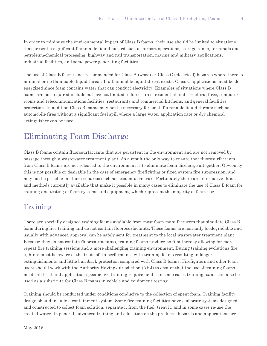In order to minimize the environmental impact of Class B foams, their use should be limited to situations that present a significant flammable liquid hazard such as airport operations, storage tanks, terminals and petroleum/chemical processing, highway and rail transportation, marine and military applications, industrial facilities, and some power generating facilities.

The use of Class B foam is not recommended for Class A (wood) or Class C (electrical) hazards where there is minimal or no flammable liquid threat. If a flammable liquid threat exists, Class C applications must be deenergized since foam contains water that can conduct electricity. Examples of situations where Class B foams are not required include but are not limited to forest fires, residential and structural fires, computer rooms and telecommunications facilities, restaurants and commercial kitchens, and general facilities protection. In addition Class B foams may not be necessary for small flammable liquid threats such as automobile fires without a significant fuel spill where a large water application rate or dry chemical extinguisher can be used.

### Eliminating Foam Discharge

Class B foams contain fluorosurfactants that are persistent in the environment and are not removed by passage through a wastewater treatment plant. As a result the only way to ensure that fluorosurfactants from Class B foams are not released to the environment is to eliminate foam discharge altogether. Obviously this is not possible or desirable in the case of emergency firefighting or fixed system fire suppression, and may not be possible in other scenarios such as accidental release. Fortunately there are alternative fluids and methods currently available that make it possible in many cases to eliminate the use of Class B foam for training and testing of foam systems and equipment, which represent the majority of foam use.

### Training

There are specially designed training foams available from most foam manufacturers that simulate Class B foam during live training and do not contain fluorosurfactants. These foams are normally biodegradable and usually with advanced approval can be safely sent for treatment to the local wastewater treatment plant. Because they do not contain fluorosurfactants, training foams produce no film thereby allowing for more repeat fire training sessions and a more challenging training environment. During training evolutions fire fighters must be aware of the trade off in performance with training foams resulting in longer extinguishments and little burnback protection compared with Class B foams. Firefighters and other foam users should work with the Authority Having Jurisdiction (AHJ) to ensure that the use of training foams meets all local and application-specific live training requirements. In some cases training foams can also be used as a substitute for Class B foams in vehicle and equipment testing.

Training should be conducted under conditions conducive to the collection of spent foam. Training facility design should include a containment system. Some fire training facilities have elaborate systems designed and constructed to collect foam solution, separate it from the fuel, treat it, and in some cases re-use the treated water. In general, advanced training and education on the products, hazards and applications are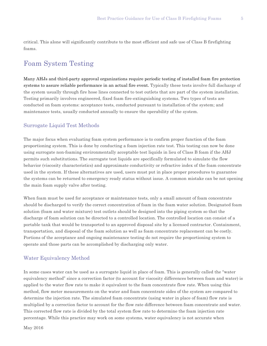critical. This alone will significantly contribute to the most efficient and safe use of Class B firefighting foams.

### Foam System Testing

Many AHJs and third-party approval organizations require periodic testing of installed foam fire protection systems to assure reliable performance in an actual fire event. Typically these tests involve full discharge of the system usually through fire hose lines connected to test outlets that are part of the system installation. Testing primarily involves engineered, fixed foam fire-extinguishing systems. Two types of tests are conducted on foam systems: acceptance tests, conducted pursuant to installation of the system; and maintenance tests, usually conducted annually to ensure the operability of the system.

#### Surrogate Liquid Test Methods

The major focus when evaluating foam system performance is to confirm proper function of the foam proportioning system. This is done by conducting a foam injection rate test. This testing can now be done using surrogate non-foaming environmentally acceptable test liquids in lieu of Class B foam if the AHJ permits such substitutions. The surrogate test liquids are specifically formulated to simulate the flow behavior (viscosity characteristics) and approximate conductivity or refractive index of the foam concentrate used in the system. If these alternatives are used, users must put in place proper procedures to guarantee the systems can be returned to emergency ready status without issue. A common mistake can be not opening the main foam supply valve after testing.

When foam must be used for acceptance or maintenance tests, only a small amount of foam concentrate should be discharged to verify the correct concentration of foam in the foam water solution. Designated foam solution (foam and water mixture) test outlets should be designed into the piping system so that the discharge of foam solution can be directed to a controlled location. The controlled location can consist of a portable tank that would be transported to an approved disposal site by a licensed contractor. Containment, transportation, and disposal of the foam solution as well as foam concentrate replacement can be costly. Portions of the acceptance and ongoing maintenance testing do not require the proportioning system to operate and those parts can be accomplished by discharging only water.

#### Water Equivalency Method

In some cases water can be used as a surrogate liquid in place of foam. This is generally called the "water equivalency method" since a correction factor (to account for viscosity differences between foam and water) is applied to the water flow rate to make it equivalent to the foam concentrate flow rate. When using this method, flow meter measurements on the water and foam concentrate sides of the system are compared to determine the injection rate. The simulated foam concentrate (using water in place of foam) flow rate is multiplied by a correction factor to account for the flow rate difference between foam concentrate and water. This corrected flow rate is divided by the total system flow rate to determine the foam injection rate percentage. While this practice may work on some systems, water equivalency is not accurate when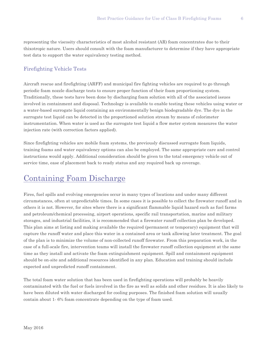representing the viscosity characteristics of most alcohol resistant (AR) foam concentrates due to their thixotropic nature. Users should consult with the foam manufacturer to determine if they have appropriate test data to support the water equivalency testing method.

#### Firefighting Vehicle Tests

Aircraft rescue and firefighting (ARFF) and municipal fire fighting vehicles are required to go through periodic foam nozzle discharge tests to ensure proper function of their foam proportioning system. Traditionally, these tests have been done by discharging foam solution with all of the associated issues involved in containment and disposal. Technology is available to enable testing these vehicles using water or a water-based surrogate liquid containing an environmentally benign biodegradable dye. The dye in the surrogate test liquid can be detected in the proportioned solution stream by means of colorimeter instrumentation. When water is used as the surrogate test liquid a flow meter system measures the water injection rate (with correction factors applied).

Since firefighting vehicles are mobile foam systems, the previously discussed surrogate foam liquids, training foams and water equivalency options can also be employed. The same appropriate care and control instructions would apply. Additional consideration should be given to the total emergency vehicle out of service time, ease of placement back to ready status and any required back up coverage.

### Containing Foam Discharge

Fires, fuel spills and evolving emergencies occur in many types of locations and under many different circumstances, often at unpredictable times. In some cases it is possible to collect the firewater runoff and in others it is not. However, for sites where there is a significant flammable liquid hazard such as fuel farms and petroleum/chemical processing, airport operations, specific rail transportation, marine and military storages, and industrial facilities, it is recommended that a firewater runoff collection plan be developed. This plan aims at listing and making available the required (permanent or temporary) equipment that will capture the runoff water and place this water in a contained area or tank allowing later treatment. The goal of the plan is to minimize the volume of non-collected runoff firewater. From this preparation work, in the case of a full-scale fire, intervention teams will install the firewater runoff collection equipment at the same time as they install and activate the foam extinguishment equipment. Spill and containment equipment should be on-site and additional resources identified in any plan. Education and training should include expected and unpredicted runoff containment.

The total foam water solution that has been used in firefighting operations will probably be heavily contaminated with the fuel or fuels involved in the fire as well as solids and other residues. It is also likely to have been diluted with water discharged for cooling purposes. The finished foam solution will usually contain about 1- 6% foam concentrate depending on the type of foam used.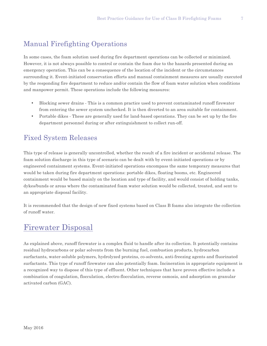### Manual Firefighting Operations

In some cases, the foam solution used during fire department operations can be collected or minimized. However, it is not always possible to control or contain the foam due to the hazards presented during an emergency operation. This can be a consequence of the location of the incident or the circumstances surrounding it. Event-initiated conservation efforts and manual containment measures are usually executed by the responding fire department to reduce and/or contain the flow of foam water solution when conditions and manpower permit. These operations include the following measures:

- Blocking sewer drains This is a common practice used to prevent contaminated runoff firewater from entering the sewer system unchecked. It is then diverted to an area suitable for containment.
- Portable dikes These are generally used for land-based operations. They can be set up by the fire department personnel during or after extinguishment to collect run-off.

### Fixed System Releases

This type of release is generally uncontrolled, whether the result of a fire incident or accidental release. The foam solution discharge in this type of scenario can be dealt with by event-initiated operations or by engineered containment systems. Event-initiated operations encompass the same temporary measures that would be taken during fire department operations: portable dikes, floating booms, etc. Engineered containment would be based mainly on the location and type of facility, and would consist of holding tanks, dykes/bunds or areas where the contaminated foam water solution would be collected, treated, and sent to an appropriate disposal facility.

It is recommended that the design of new fixed systems based on Class B foams also integrate the collection of runoff water.

### Firewater Disposal

As explained above, runoff firewater is a complex fluid to handle after its collection. It potentially contains residual hydrocarbons or polar solvents from the burning fuel, combustion products, hydrocarbon surfactants, water-soluble polymers, hydrolyzed proteins, co-solvents, anti-freezing agents and fluorinated surfactants. This type of runoff firewater can also potentially foam. Incineration in appropriate equipment is a recognized way to dispose of this type of effluent. Other techniques that have proven effective include a combination of coagulation, flocculation, electro-flocculation, reverse osmosis, and adsorption on granular activated carbon (GAC).